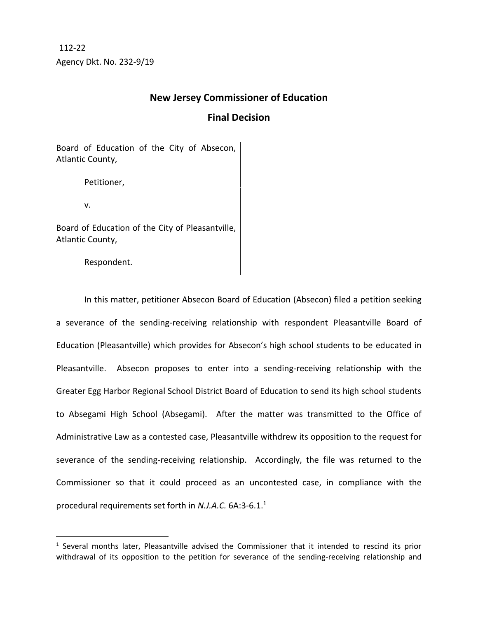Agency Dkt. No. 232-9/19 112-22

## **New Jersey Commissioner of Education**

## **Final Decision**

Board of Education of the City of Absecon, Atlantic County,

Petitioner,

v.

Board of Education of the City of Pleasantville, Atlantic County,

Respondent.

In this matter, petitioner Absecon Board of Education (Absecon) filed a petition seeking a severance of the sending-receiving relationship with respondent Pleasantville Board of Education (Pleasantville) which provides for Absecon's high school students to be educated in Pleasantville. Absecon proposes to enter into a sending-receiving relationship with the Greater Egg Harbor Regional School District Board of Education to send its high school students to Absegami High School (Absegami). After the matter was transmitted to the Office of Administrative Law as a contested case, Pleasantville withdrew its opposition to the request for severance of the sending-receiving relationship. Accordingly, the file was returned to the Commissioner so that it could proceed as an uncontested case, in compliance with the procedural requirements set forth in *N.J.A.C.* 6A:3-6.1.<sup>1</sup>

<sup>&</sup>lt;sup>1</sup> Several months later, Pleasantville advised the Commissioner that it intended to rescind its prior withdrawal of its opposition to the petition for severance of the sending-receiving relationship and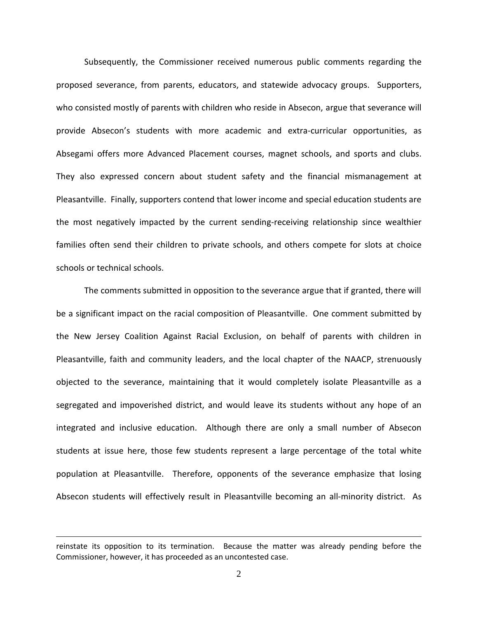Subsequently, the Commissioner received numerous public comments regarding the proposed severance, from parents, educators, and statewide advocacy groups. Supporters, who consisted mostly of parents with children who reside in Absecon, argue that severance will provide Absecon's students with more academic and extra-curricular opportunities, as Absegami offers more Advanced Placement courses, magnet schools, and sports and clubs. They also expressed concern about student safety and the financial mismanagement at Pleasantville. Finally, supporters contend that lower income and special education students are the most negatively impacted by the current sending-receiving relationship since wealthier families often send their children to private schools, and others compete for slots at choice schools or technical schools.

The comments submitted in opposition to the severance argue that if granted, there will be a significant impact on the racial composition of Pleasantville. One comment submitted by the New Jersey Coalition Against Racial Exclusion, on behalf of parents with children in Pleasantville, faith and community leaders, and the local chapter of the NAACP, strenuously objected to the severance, maintaining that it would completely isolate Pleasantville as a segregated and impoverished district, and would leave its students without any hope of an integrated and inclusive education. Although there are only a small number of Absecon students at issue here, those few students represent a large percentage of the total white population at Pleasantville. Therefore, opponents of the severance emphasize that losing Absecon students will effectively result in Pleasantville becoming an all-minority district. As

reinstate its opposition to its termination. Because the matter was already pending before the Commissioner, however, it has proceeded as an uncontested case.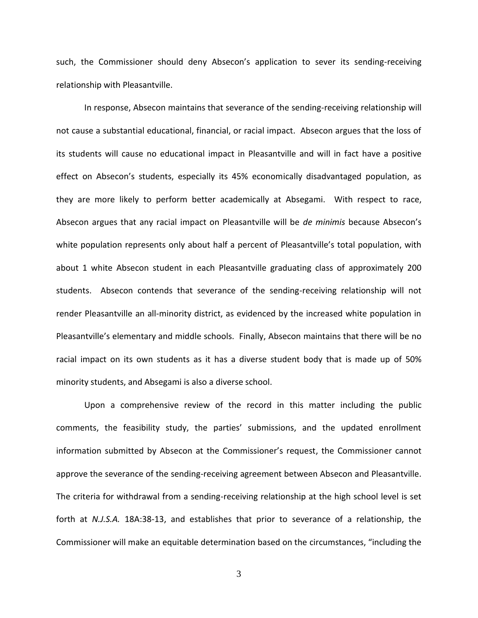such, the Commissioner should deny Absecon's application to sever its sending-receiving relationship with Pleasantville.

In response, Absecon maintains that severance of the sending-receiving relationship will not cause a substantial educational, financial, or racial impact. Absecon argues that the loss of its students will cause no educational impact in Pleasantville and will in fact have a positive effect on Absecon's students, especially its 45% economically disadvantaged population, as they are more likely to perform better academically at Absegami. With respect to race, Absecon argues that any racial impact on Pleasantville will be *de minimis* because Absecon's white population represents only about half a percent of Pleasantville's total population, with about 1 white Absecon student in each Pleasantville graduating class of approximately 200 students. Absecon contends that severance of the sending-receiving relationship will not render Pleasantville an all-minority district, as evidenced by the increased white population in Pleasantville's elementary and middle schools. Finally, Absecon maintains that there will be no racial impact on its own students as it has a diverse student body that is made up of 50% minority students, and Absegami is also a diverse school.

Upon a comprehensive review of the record in this matter including the public comments, the feasibility study, the parties' submissions, and the updated enrollment information submitted by Absecon at the Commissioner's request, the Commissioner cannot approve the severance of the sending-receiving agreement between Absecon and Pleasantville. The criteria for withdrawal from a sending-receiving relationship at the high school level is set forth at *N.J.S.A.* 18A:38-13, and establishes that prior to severance of a relationship, the Commissioner will make an equitable determination based on the circumstances, "including the

3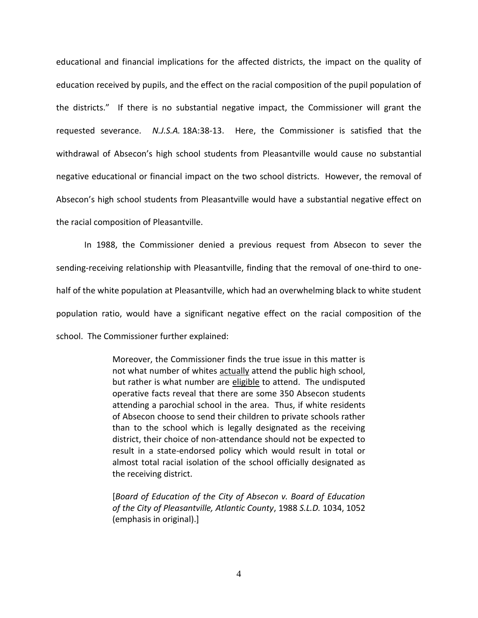educational and financial implications for the affected districts, the impact on the quality of education received by pupils, and the effect on the racial composition of the pupil population of the districts." If there is no substantial negative impact, the Commissioner will grant the requested severance. *N.J.S.A.* 18A:38-13. Here, the Commissioner is satisfied that the withdrawal of Absecon's high school students from Pleasantville would cause no substantial negative educational or financial impact on the two school districts. However, the removal of Absecon's high school students from Pleasantville would have a substantial negative effect on the racial composition of Pleasantville.

In 1988, the Commissioner denied a previous request from Absecon to sever the sending-receiving relationship with Pleasantville, finding that the removal of one-third to onehalf of the white population at Pleasantville, which had an overwhelming black to white student population ratio, would have a significant negative effect on the racial composition of the school. The Commissioner further explained:

> Moreover, the Commissioner finds the true issue in this matter is not what number of whites actually attend the public high school, but rather is what number are eligible to attend. The undisputed operative facts reveal that there are some 350 Absecon students attending a parochial school in the area. Thus, if white residents of Absecon choose to send their children to private schools rather than to the school which is legally designated as the receiving district, their choice of non-attendance should not be expected to result in a state-endorsed policy which would result in total or almost total racial isolation of the school officially designated as the receiving district.

> [*Board of Education of the City of Absecon v. Board of Education of the City of Pleasantville, Atlantic County*, 1988 *S.L.D.* 1034, 1052 (emphasis in original).]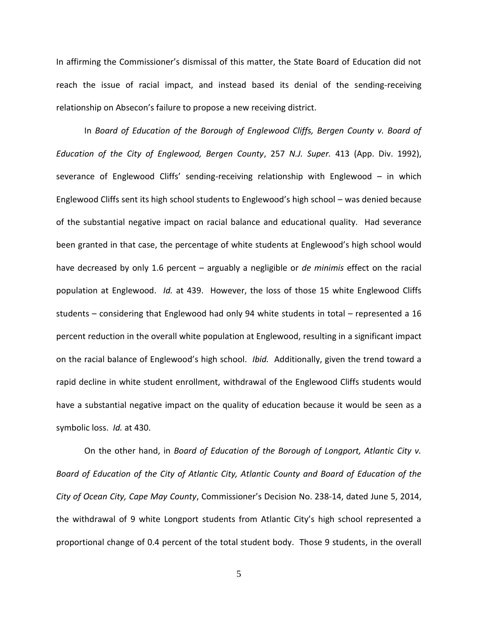In affirming the Commissioner's dismissal of this matter, the State Board of Education did not reach the issue of racial impact, and instead based its denial of the sending-receiving relationship on Absecon's failure to propose a new receiving district.

In *Board of Education of the Borough of Englewood Cliffs, Bergen County v. Board of Education of the City of Englewood, Bergen County*, 257 *N.J. Super.* 413 (App. Div. 1992), severance of Englewood Cliffs' sending-receiving relationship with Englewood – in which Englewood Cliffs sent its high school students to Englewood's high school – was denied because of the substantial negative impact on racial balance and educational quality. Had severance been granted in that case, the percentage of white students at Englewood's high school would have decreased by only 1.6 percent – arguably a negligible or *de minimis* effect on the racial population at Englewood. *Id.* at 439. However, the loss of those 15 white Englewood Cliffs students – considering that Englewood had only 94 white students in total – represented a 16 percent reduction in the overall white population at Englewood, resulting in a significant impact on the racial balance of Englewood's high school. *Ibid.* Additionally, given the trend toward a rapid decline in white student enrollment, withdrawal of the Englewood Cliffs students would have a substantial negative impact on the quality of education because it would be seen as a symbolic loss. *Id.* at 430.

On the other hand, in *Board of Education of the Borough of Longport, Atlantic City v. Board of Education of the City of Atlantic City, Atlantic County and Board of Education of the City of Ocean City, Cape May County*, Commissioner's Decision No. 238-14, dated June 5, 2014, the withdrawal of 9 white Longport students from Atlantic City's high school represented a proportional change of 0.4 percent of the total student body. Those 9 students, in the overall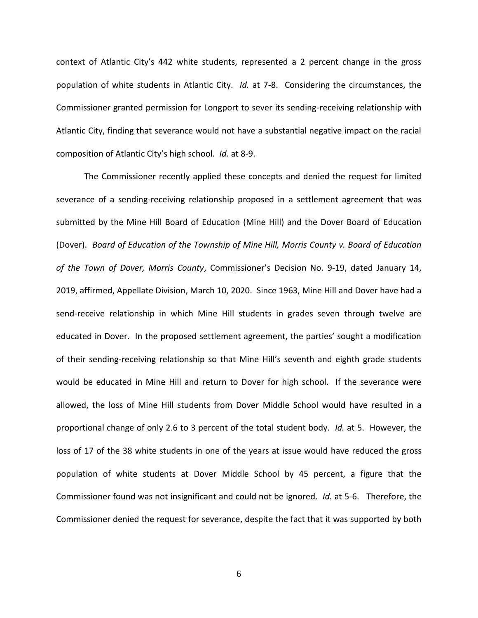context of Atlantic City's 442 white students, represented a 2 percent change in the gross population of white students in Atlantic City. *Id.* at 7-8. Considering the circumstances, the Commissioner granted permission for Longport to sever its sending-receiving relationship with Atlantic City, finding that severance would not have a substantial negative impact on the racial composition of Atlantic City's high school. *Id.* at 8-9.

The Commissioner recently applied these concepts and denied the request for limited severance of a sending-receiving relationship proposed in a settlement agreement that was submitted by the Mine Hill Board of Education (Mine Hill) and the Dover Board of Education (Dover). *Board of Education of the Township of Mine Hill, Morris County v. Board of Education of the Town of Dover, Morris County*, Commissioner's Decision No. 9-19, dated January 14, 2019, affirmed, Appellate Division, March 10, 2020. Since 1963, Mine Hill and Dover have had a send-receive relationship in which Mine Hill students in grades seven through twelve are educated in Dover. In the proposed settlement agreement, the parties' sought a modification of their sending-receiving relationship so that Mine Hill's seventh and eighth grade students would be educated in Mine Hill and return to Dover for high school. If the severance were allowed, the loss of Mine Hill students from Dover Middle School would have resulted in a proportional change of only 2.6 to 3 percent of the total student body. *Id.* at 5. However, the loss of 17 of the 38 white students in one of the years at issue would have reduced the gross population of white students at Dover Middle School by 45 percent, a figure that the Commissioner found was not insignificant and could not be ignored. *Id.* at 5-6. Therefore, the Commissioner denied the request for severance, despite the fact that it was supported by both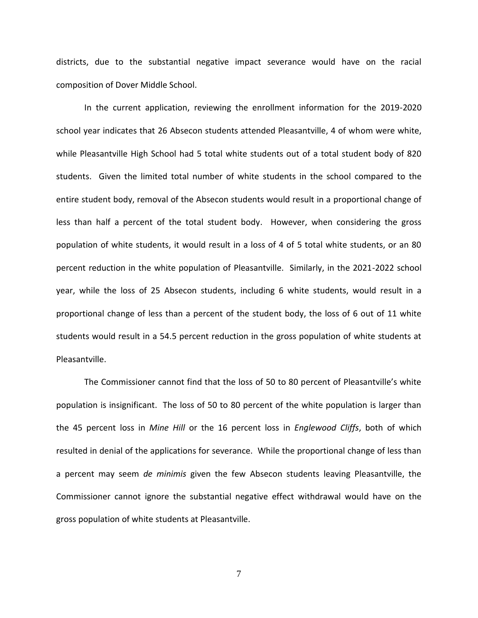districts, due to the substantial negative impact severance would have on the racial composition of Dover Middle School.

In the current application, reviewing the enrollment information for the 2019-2020 school year indicates that 26 Absecon students attended Pleasantville, 4 of whom were white, while Pleasantville High School had 5 total white students out of a total student body of 820 students. Given the limited total number of white students in the school compared to the entire student body, removal of the Absecon students would result in a proportional change of less than half a percent of the total student body. However, when considering the gross population of white students, it would result in a loss of 4 of 5 total white students, or an 80 percent reduction in the white population of Pleasantville. Similarly, in the 2021-2022 school year, while the loss of 25 Absecon students, including 6 white students, would result in a proportional change of less than a percent of the student body, the loss of 6 out of 11 white students would result in a 54.5 percent reduction in the gross population of white students at Pleasantville.

The Commissioner cannot find that the loss of 50 to 80 percent of Pleasantville's white population is insignificant. The loss of 50 to 80 percent of the white population is larger than the 45 percent loss in *Mine Hill* or the 16 percent loss in *Englewood Cliffs*, both of which resulted in denial of the applications for severance. While the proportional change of less than a percent may seem *de minimis* given the few Absecon students leaving Pleasantville, the Commissioner cannot ignore the substantial negative effect withdrawal would have on the gross population of white students at Pleasantville.

7